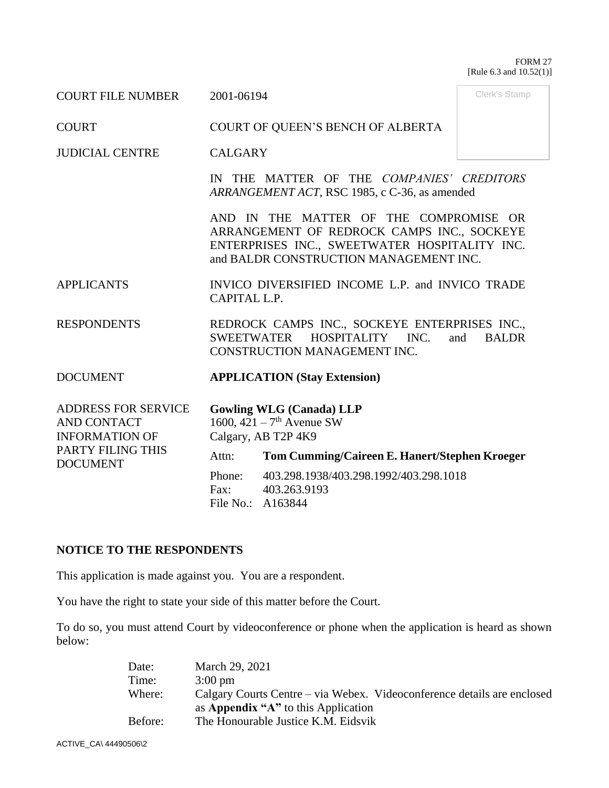#### FORM 27 [Rule 6.3 and 10.52(1)]

Clerk's Stamp

COURT FILE NUMBER 2001-06194

COURT COURT OF QUEEN'S BENCH OF ALBERTA

JUDICIAL CENTRE CALGARY

IN THE MATTER OF THE *COMPANIES' CREDITORS ARRANGEMENT ACT*, RSC 1985, c C-36, as amended

AND IN THE MATTER OF THE COMPROMISE OR ARRANGEMENT OF REDROCK CAMPS INC., SOCKEYE ENTERPRISES INC., SWEETWATER HOSPITALITY INC. and BALDR CONSTRUCTION MANAGEMENT INC.

APPLICANTS INVICO DIVERSIFIED INCOME L.P. and INVICO TRADE CAPITAL L.P.

RESPONDENTS REDROCK CAMPS INC., SOCKEYE ENTERPRISES INC., SWEETWATER HOSPITALITY INC. and BALDR CONSTRUCTION MANAGEMENT INC.

DOCUMENT **APPLICATION (Stay Extension)**

ADDRESS FOR SERVICE AND CONTACT INFORMATION OF PARTY FILING THIS DOCUMENT **Gowling WLG (Canada) LLP** 1600,  $421 - 7$ <sup>th</sup> Avenue SW Calgary, AB T2P 4K9 Attn: **Tom Cumming/Caireen E. Hanert/Stephen Kroeger** Phone: 403.298.1938/403.298.1992/403.298.1018 Fax: 403.263.9193 File No.: A163844

# **NOTICE TO THE RESPONDENTS**

This application is made against you. You are a respondent.

You have the right to state your side of this matter before the Court.

To do so, you must attend Court by videoconference or phone when the application is heard as shown below:

| Date:   | March 29, 2021                                                          |
|---------|-------------------------------------------------------------------------|
| Time:   | $3:00 \text{ pm}$                                                       |
| Where:  | Calgary Courts Centre – via Webex. Videoconference details are enclosed |
|         | as Appendix "A" to this Application                                     |
| Before: | The Honourable Justice K.M. Eidsvik                                     |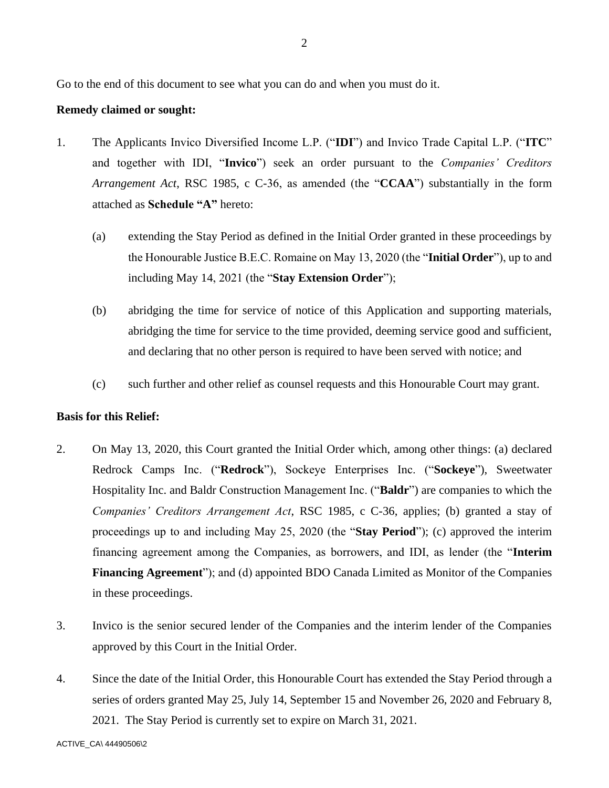Go to the end of this document to see what you can do and when you must do it.

### **Remedy claimed or sought:**

- 1. The Applicants Invico Diversified Income L.P. ("**IDI**") and Invico Trade Capital L.P. ("**ITC**" and together with IDI, "**Invico**") seek an order pursuant to the *Companies' Creditors Arrangement Act*, RSC 1985, c C-36, as amended (the "**CCAA**") substantially in the form attached as **Schedule "A"** hereto:
	- (a) extending the Stay Period as defined in the Initial Order granted in these proceedings by the Honourable Justice B.E.C. Romaine on May 13, 2020 (the "**Initial Order**"), up to and including May 14, 2021 (the "**Stay Extension Order**");
	- (b) abridging the time for service of notice of this Application and supporting materials, abridging the time for service to the time provided, deeming service good and sufficient, and declaring that no other person is required to have been served with notice; and
	- (c) such further and other relief as counsel requests and this Honourable Court may grant.

### **Basis for this Relief:**

- 2. On May 13, 2020, this Court granted the Initial Order which, among other things: (a) declared Redrock Camps Inc. ("**Redrock**"), Sockeye Enterprises Inc. ("**Sockeye**"), Sweetwater Hospitality Inc. and Baldr Construction Management Inc. ("**Baldr**") are companies to which the *Companies' Creditors Arrangement Act*, RSC 1985, c C-36, applies; (b) granted a stay of proceedings up to and including May 25, 2020 (the "**Stay Period**"); (c) approved the interim financing agreement among the Companies, as borrowers, and IDI, as lender (the "**Interim Financing Agreement**"); and (d) appointed BDO Canada Limited as Monitor of the Companies in these proceedings.
- 3. Invico is the senior secured lender of the Companies and the interim lender of the Companies approved by this Court in the Initial Order.
- 4. Since the date of the Initial Order, this Honourable Court has extended the Stay Period through a series of orders granted May 25, July 14, September 15 and November 26, 2020 and February 8, 2021. The Stay Period is currently set to expire on March 31, 2021.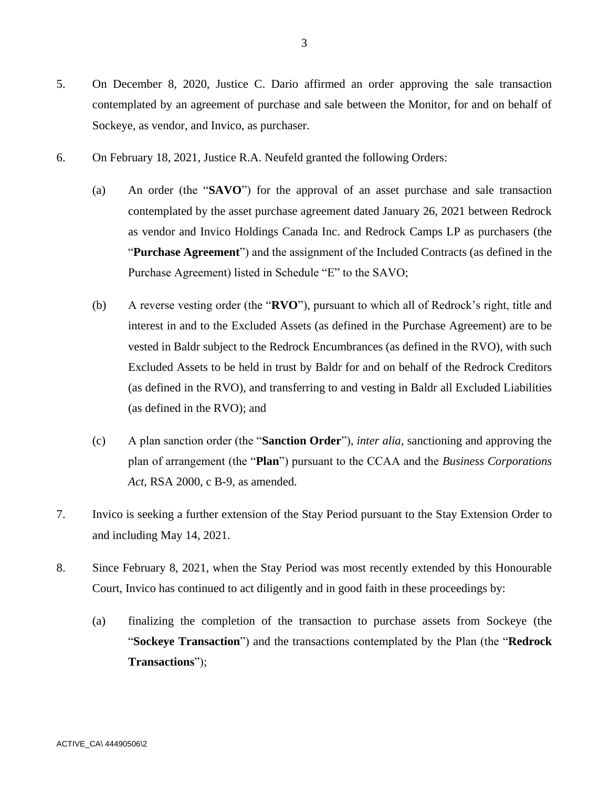- 5. On December 8, 2020, Justice C. Dario affirmed an order approving the sale transaction contemplated by an agreement of purchase and sale between the Monitor, for and on behalf of Sockeye, as vendor, and Invico, as purchaser.
- 6. On February 18, 2021, Justice R.A. Neufeld granted the following Orders:
	- (a) An order (the "**SAVO**") for the approval of an asset purchase and sale transaction contemplated by the asset purchase agreement dated January 26, 2021 between Redrock as vendor and Invico Holdings Canada Inc. and Redrock Camps LP as purchasers (the "**Purchase Agreement**") and the assignment of the Included Contracts (as defined in the Purchase Agreement) listed in Schedule "E" to the SAVO;
	- (b) A reverse vesting order (the "**RVO**"), pursuant to which all of Redrock's right, title and interest in and to the Excluded Assets (as defined in the Purchase Agreement) are to be vested in Baldr subject to the Redrock Encumbrances (as defined in the RVO), with such Excluded Assets to be held in trust by Baldr for and on behalf of the Redrock Creditors (as defined in the RVO), and transferring to and vesting in Baldr all Excluded Liabilities (as defined in the RVO); and
	- (c) A plan sanction order (the "**Sanction Order**"), *inter alia*, sanctioning and approving the plan of arrangement (the "**Plan**") pursuant to the CCAA and the *Business Corporations Act*, RSA 2000, c B-9, as amended.
- 7. Invico is seeking a further extension of the Stay Period pursuant to the Stay Extension Order to and including May 14, 2021.
- 8. Since February 8, 2021, when the Stay Period was most recently extended by this Honourable Court, Invico has continued to act diligently and in good faith in these proceedings by:
	- (a) finalizing the completion of the transaction to purchase assets from Sockeye (the "**Sockeye Transaction**") and the transactions contemplated by the Plan (the "**Redrock Transactions**");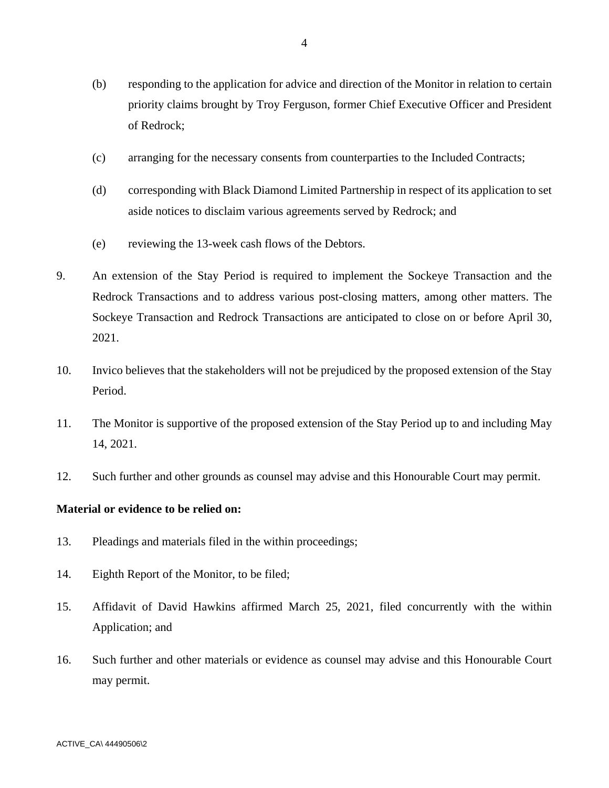- (b) responding to the application for advice and direction of the Monitor in relation to certain priority claims brought by Troy Ferguson, former Chief Executive Officer and President of Redrock;
- (c) arranging for the necessary consents from counterparties to the Included Contracts;
- (d) corresponding with Black Diamond Limited Partnership in respect of its application to set aside notices to disclaim various agreements served by Redrock; and
- (e) reviewing the 13-week cash flows of the Debtors.
- 9. An extension of the Stay Period is required to implement the Sockeye Transaction and the Redrock Transactions and to address various post-closing matters, among other matters. The Sockeye Transaction and Redrock Transactions are anticipated to close on or before April 30, 2021.
- 10. Invico believes that the stakeholders will not be prejudiced by the proposed extension of the Stay Period.
- 11. The Monitor is supportive of the proposed extension of the Stay Period up to and including May 14, 2021.
- 12. Such further and other grounds as counsel may advise and this Honourable Court may permit.

### **Material or evidence to be relied on:**

- 13. Pleadings and materials filed in the within proceedings;
- 14. Eighth Report of the Monitor, to be filed;
- 15. Affidavit of David Hawkins affirmed March 25, 2021, filed concurrently with the within Application; and
- 16. Such further and other materials or evidence as counsel may advise and this Honourable Court may permit.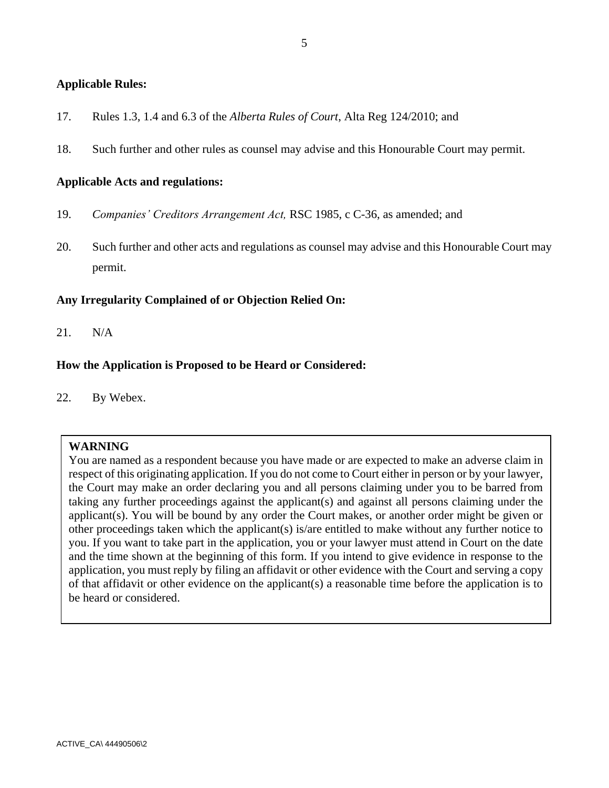### **Applicable Rules:**

- 17. Rules 1.3, 1.4 and 6.3 of the *Alberta Rules of Court*, Alta Reg 124/2010; and
- 18. Such further and other rules as counsel may advise and this Honourable Court may permit.

### **Applicable Acts and regulations:**

- 19. *Companies' Creditors Arrangement Act,* RSC 1985, c C-36, as amended; and
- 20. Such further and other acts and regulations as counsel may advise and this Honourable Court may permit.

### **Any Irregularity Complained of or Objection Relied On:**

21. N/A

### **How the Application is Proposed to be Heard or Considered:**

22. By Webex.

### **WARNING**

You are named as a respondent because you have made or are expected to make an adverse claim in respect of this originating application. If you do not come to Court either in person or by your lawyer, the Court may make an order declaring you and all persons claiming under you to be barred from taking any further proceedings against the applicant(s) and against all persons claiming under the applicant(s). You will be bound by any order the Court makes, or another order might be given or other proceedings taken which the applicant(s) is/are entitled to make without any further notice to you. If you want to take part in the application, you or your lawyer must attend in Court on the date and the time shown at the beginning of this form. If you intend to give evidence in response to the application, you must reply by filing an affidavit or other evidence with the Court and serving a copy of that affidavit or other evidence on the applicant(s) a reasonable time before the application is to be heard or considered.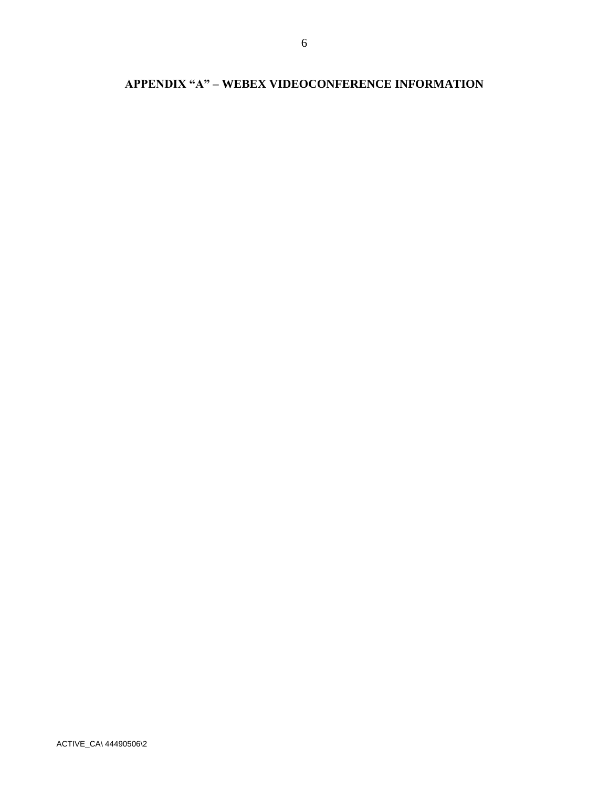# **APPENDIX "A" – WEBEX VIDEOCONFERENCE INFORMATION**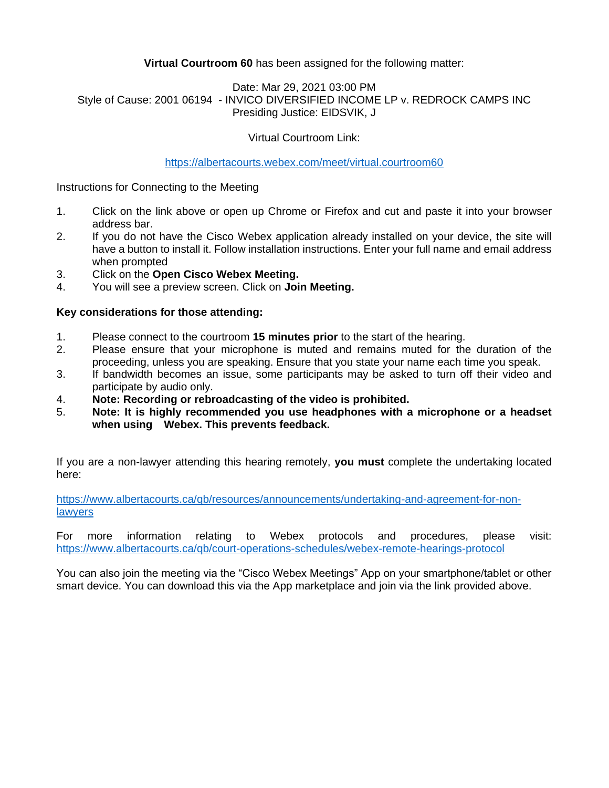# **Virtual Courtroom 60** has been assigned for the following matter:

### Date: Mar 29, 2021 03:00 PM Style of Cause: 2001 06194 - INVICO DIVERSIFIED INCOME LP v. REDROCK CAMPS INC Presiding Justice: EIDSVIK, J

# Virtual Courtroom Link:

### <https://albertacourts.webex.com/meet/virtual.courtroom60>

Instructions for Connecting to the Meeting

- 1. Click on the link above or open up Chrome or Firefox and cut and paste it into your browser address bar.
- 2. If you do not have the Cisco Webex application already installed on your device, the site will have a button to install it. Follow installation instructions. Enter your full name and email address when prompted
- 3. Click on the **Open Cisco Webex Meeting.**
- 4. You will see a preview screen. Click on **Join Meeting.**

### **Key considerations for those attending:**

- 1. Please connect to the courtroom **15 minutes prior** to the start of the hearing.
- 2. Please ensure that your microphone is muted and remains muted for the duration of the proceeding, unless you are speaking. Ensure that you state your name each time you speak.
- 3. If bandwidth becomes an issue, some participants may be asked to turn off their video and participate by audio only.
- 4. **Note: Recording or rebroadcasting of the video is prohibited.**
- 5. **Note: It is highly recommended you use headphones with a microphone or a headset when using Webex. This prevents feedback.**

If you are a non-lawyer attending this hearing remotely, **you must** complete the undertaking located here:

[https://www.albertacourts.ca/qb/resources/announcements/undertaking-and-agreement-for-non](https://www.albertacourts.ca/qb/resources/announcements/undertaking-and-agreement-for-non-lawyers)[lawyers](https://www.albertacourts.ca/qb/resources/announcements/undertaking-and-agreement-for-non-lawyers)

For more information relating to Webex protocols and procedures, please visit: <https://www.albertacourts.ca/qb/court-operations-schedules/webex-remote-hearings-protocol>

You can also join the meeting via the "Cisco Webex Meetings" App on your smartphone/tablet or other smart device. You can download this via the App marketplace and join via the link provided above.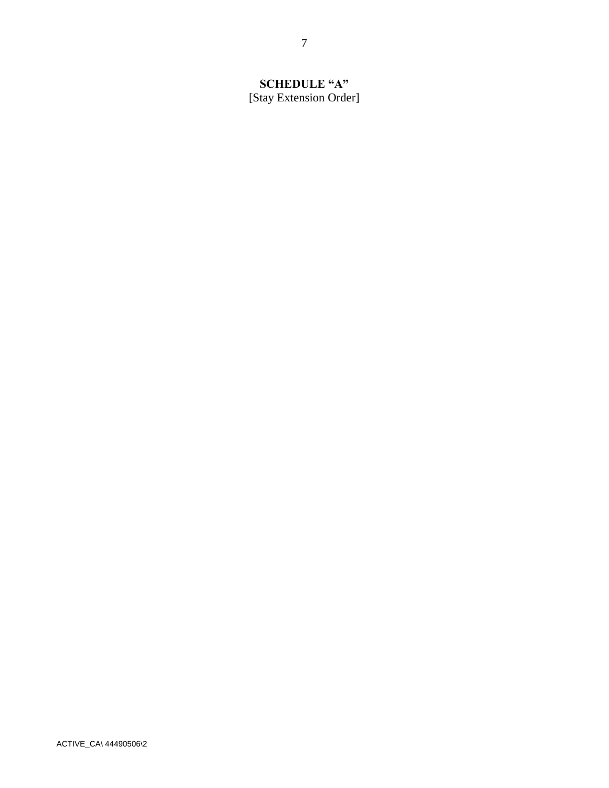# **SCHEDULE "A"** [Stay Extension Order]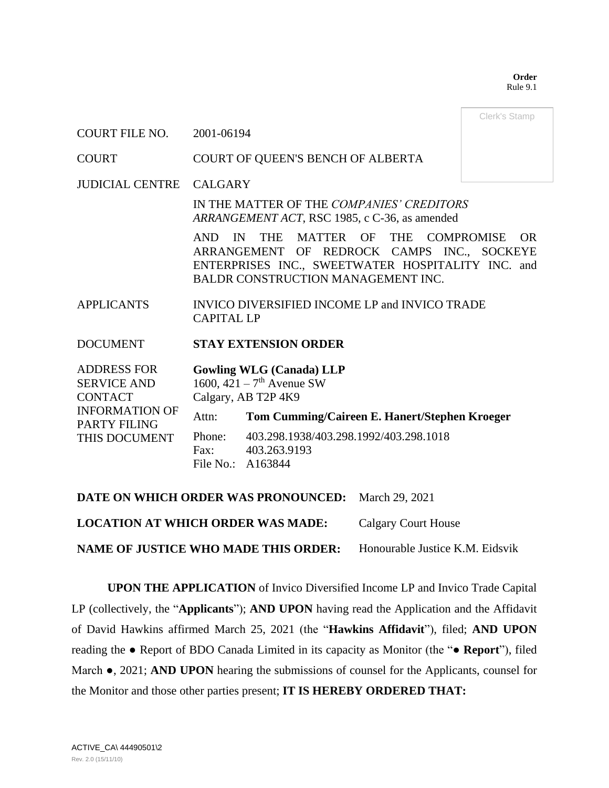**Order** Rule 9.1

Clerk's Stamp

### COURT FILE NO. 2001-06194

### COURT COURT OF QUEEN'S BENCH OF ALBERTA

JUDICIAL CENTRE CALGARY

IN THE MATTER OF THE *COMPANIES' CREDITORS ARRANGEMENT ACT*, RSC 1985, c C-36, as amended

AND IN THE MATTER OF THE COMPROMISE OR ARRANGEMENT OF REDROCK CAMPS INC., SOCKEYE ENTERPRISES INC., SWEETWATER HOSPITALITY INC. and BALDR CONSTRUCTION MANAGEMENT INC.

APPLICANTS INVICO DIVERSIFIED INCOME LP and INVICO TRADE CAPITAL LP

### DOCUMENT **STAY EXTENSION ORDER**

| <b>ADDRESS FOR</b>    |                     | <b>Gowling WLG (Canada) LLP</b>               |  |
|-----------------------|---------------------|-----------------------------------------------|--|
| <b>SERVICE AND</b>    |                     | 1600, $421 - 7$ <sup>th</sup> Avenue SW       |  |
| <b>CONTACT</b>        | Calgary, AB T2P 4K9 |                                               |  |
| <b>INFORMATION OF</b> | Attn:               | Tom Cumming/Caireen E. Hanert/Stephen Kroeger |  |
| <b>PARTY FILING</b>   |                     |                                               |  |
| THIS DOCUMENT         | Phone:              | 403.298.1938/403.298.1992/403.298.1018        |  |
|                       | Fax:                | 403.263.9193                                  |  |
|                       | File No.: A163844   |                                               |  |

**DATE ON WHICH ORDER WAS PRONOUNCED:** March 29, 2021

**LOCATION AT WHICH ORDER WAS MADE:** Calgary Court House

**NAME OF JUSTICE WHO MADE THIS ORDER:** Honourable Justice K.M. Eidsvik

**UPON THE APPLICATION** of Invico Diversified Income LP and Invico Trade Capital LP (collectively, the "**Applicants**"); **AND UPON** having read the Application and the Affidavit of David Hawkins affirmed March 25, 2021 (the "**Hawkins Affidavit**"), filed; **AND UPON** reading the ● Report of BDO Canada Limited in its capacity as Monitor (the "**● Report**"), filed March ●, 2021; **AND UPON** hearing the submissions of counsel for the Applicants, counsel for the Monitor and those other parties present; **IT IS HEREBY ORDERED THAT:**